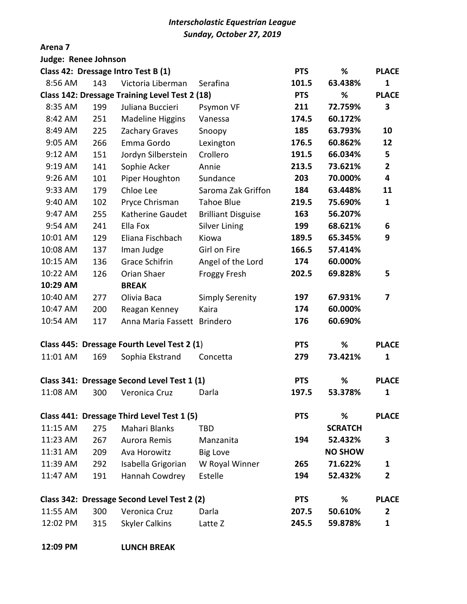## *Interscholastic Equestrian League Sunday, October 27, 2019*

## **Arena 7**

| Judge: Renee Johnson                        |                                             |                                                |                           |            |                |                |
|---------------------------------------------|---------------------------------------------|------------------------------------------------|---------------------------|------------|----------------|----------------|
|                                             |                                             | Class 42: Dressage Intro Test B (1)            |                           | <b>PTS</b> | %              | <b>PLACE</b>   |
| 8:56 AM                                     | 143                                         | Victoria Liberman                              | Serafina                  | 101.5      | 63.438%        | $\mathbf{1}$   |
|                                             |                                             | Class 142: Dressage Training Level Test 2 (18) |                           | <b>PTS</b> | %              | <b>PLACE</b>   |
| 8:35 AM                                     | 199                                         | Juliana Buccieri                               | Psymon VF                 | 211        | 72.759%        | 3              |
| 8:42 AM                                     | 251                                         | Madeline Higgins                               | Vanessa                   | 174.5      | 60.172%        |                |
| 8:49 AM                                     | 225                                         | Zachary Graves                                 | Snoopy                    | 185        | 63.793%        | 10             |
| 9:05 AM                                     | 266                                         | Emma Gordo                                     | Lexington                 | 176.5      | 60.862%        | 12             |
| 9:12 AM                                     | 151                                         | Jordyn Silberstein                             | Crollero                  | 191.5      | 66.034%        | 5              |
| 9:19 AM                                     | 141                                         | Sophie Acker                                   | Annie                     | 213.5      | 73.621%        | $\overline{2}$ |
| 9:26 AM                                     | 101                                         | Piper Houghton                                 | Sundance                  | 203        | 70.000%        | 4              |
| 9:33 AM                                     | 179                                         | Chloe Lee                                      | Saroma Zak Griffon        | 184        | 63.448%        | 11             |
| 9:40 AM                                     | 102                                         | Pryce Chrisman                                 | <b>Tahoe Blue</b>         | 219.5      | 75.690%        | 1              |
| 9:47 AM                                     | 255                                         | Katherine Gaudet                               | <b>Brilliant Disguise</b> | 163        | 56.207%        |                |
| 9:54 AM                                     | 241                                         | Ella Fox                                       | <b>Silver Lining</b>      | 199        | 68.621%        | 6              |
| 10:01 AM                                    | 129                                         | Eliana Fischbach                               | Kiowa                     | 189.5      | 65.345%        | 9              |
| 10:08 AM                                    | 137                                         | Iman Judge                                     | Girl on Fire              | 166.5      | 57.414%        |                |
| 10:15 AM                                    | 136                                         | Grace Schifrin                                 | Angel of the Lord         | 174        | 60.000%        |                |
| 10:22 AM                                    | 126                                         | Orian Shaer                                    | <b>Froggy Fresh</b>       | 202.5      | 69.828%        | 5              |
| 10:29 AM                                    |                                             | <b>BREAK</b>                                   |                           |            |                |                |
| 10:40 AM                                    | 277                                         | Olivia Baca                                    | <b>Simply Serenity</b>    | 197        | 67.931%        | 7              |
| 10:47 AM                                    | 200                                         | Reagan Kenney                                  | Kaira                     | 174        | 60.000%        |                |
| 10:54 AM                                    | 117                                         | Anna Maria Fassett Brindero                    |                           | 176        | 60.690%        |                |
| Class 445: Dressage Fourth Level Test 2 (1) |                                             |                                                |                           |            | %              | <b>PLACE</b>   |
| 11:01 AM                                    | 169                                         | Sophia Ekstrand                                | Concetta                  | 279        | 73.421%        | 1              |
|                                             | Class 341: Dressage Second Level Test 1 (1) |                                                |                           |            | %              | <b>PLACE</b>   |
| 11:08 AM                                    | 300                                         | Veronica Cruz                                  | Darla                     | 197.5      | 53.378%        | 1              |
|                                             |                                             | Class 441: Dressage Third Level Test 1 (5)     | <b>PTS</b>                | %          | <b>PLACE</b>   |                |
| 11:15 AM                                    | 275                                         | Mahari Blanks                                  | <b>TBD</b>                |            | <b>SCRATCH</b> |                |
| 11:23 AM                                    | 267                                         | Aurora Remis                                   | Manzanita                 | 194        | 52.432%        | 3              |
| 11:31 AM                                    | 209                                         | Ava Horowitz                                   | <b>Big Love</b>           |            | <b>NO SHOW</b> |                |
| 11:39 AM                                    | 292                                         | Isabella Grigorian                             | W Royal Winner            | 265        | 71.622%        | 1              |
| 11:47 AM                                    | 191                                         | Hannah Cowdrey                                 | Estelle                   | 194        | 52.432%        | $\overline{2}$ |
| Class 342: Dressage Second Level Test 2 (2) |                                             |                                                |                           |            | %              | <b>PLACE</b>   |
| 11:55 AM                                    | 300                                         | Veronica Cruz                                  | Darla                     | 207.5      | 50.610%        | $\mathbf{2}$   |
| 12:02 PM                                    | 315                                         | <b>Skyler Calkins</b>                          | Latte Z                   | 245.5      | 59.878%        | $\mathbf{1}$   |

**12:09 PM LUNCH BREAK**